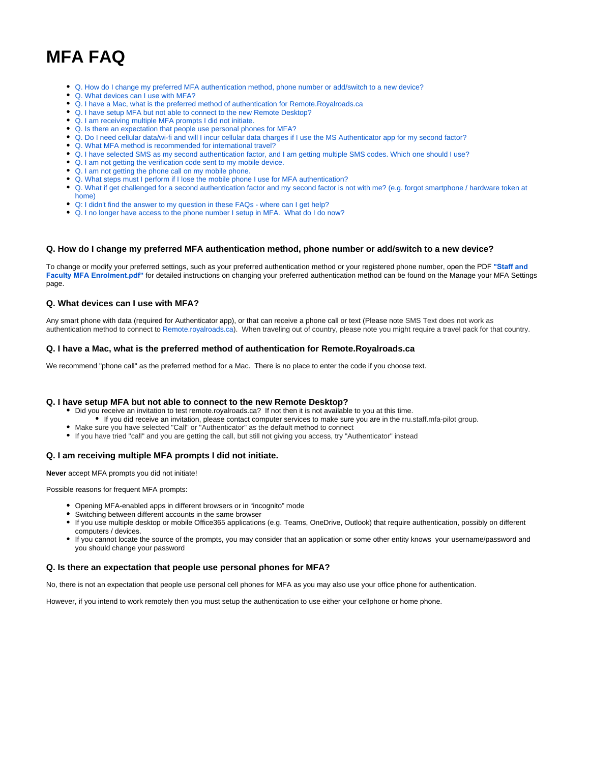# **MFA FAQ**

- [Q. How do I change my preferred MFA authentication method, phone number or add/switch to a new device?](#page-0-0)
- [Q. What devices can I use with MFA?](#page-0-1)
- [Q. I have a Mac, what is the preferred method of authentication for Remote.Royalroads.ca](#page-0-2)
- [Q. I have setup MFA but not able to connect to the new Remote Desktop?](#page-0-3)
- [Q. I am receiving multiple MFA prompts I did not initiate.](#page-0-4)
- [Q. Is there an expectation that people use personal phones for MFA?](#page-0-5)
- [Q. Do I need cellular data/wi-fi and will I incur cellular data charges if I use the MS Authenticator app for my second factor?](#page-1-0)
- [Q. What MFA method is recommended for international travel?](#page-1-1)
- [Q. I have selected SMS as my second authentication factor, and I am getting multiple SMS codes. Which one should I use?](#page-1-2)
- [Q. I am not getting the verification code sent to my mobile device.](#page-1-3)
- [Q. I am not getting the phone call on my mobile phone.](#page-1-4)
- [Q. What steps must I perform if I lose the mobile phone I use for MFA authentication?](#page-1-5)
- [Q. What if get challenged for a second authentication factor and my second factor is not with me? \(e.g. forgot smartphone / hardware token at](#page-1-6)
- [home\)](#page-1-6) [Q: I didn't find the answer to my question in these FAQs - where can I get help?](#page-1-7)
- [Q. I no longer have access to the phone number I setup in MFA. What do I do now?](#page-1-8)

### <span id="page-0-0"></span>**Q. How do I change my preferred MFA authentication method, phone number or add/switch to a new device?**

[To change or modify your preferred settings, such as your preferred authentication method or your registered phone number,](https://confluence.royalroads.ca/display/ITKNOW/Staff+and+Faculty+MFA+Enrolment) open the PDF **"[Staff and](https://confluence.royalroads.ca/display/ITKNOW/Staff+and+Faculty+MFA+Enrolment) Faculty MFA Enrolment.pdf"** for detailed instructions on changing your preferred authentication method can be found on the Manage your MFA Settings page.

#### <span id="page-0-1"></span>**Q. What devices can I use with MFA?**

Any smart phone with data (required for Authenticator app), or that can receive a phone call or text (Please note SMS Text does not work as authentication method to connect to [Remote.royalroads.ca](http://Remote.royalroads.ca)). When traveling out of country, please note you might require a travel pack for that country.

#### <span id="page-0-2"></span>**Q. I have a Mac, what is the preferred method of authentication for Remote.Royalroads.ca**

We recommend "phone call" as the preferred method for a Mac. There is no place to enter the code if you choose text.

#### <span id="page-0-3"></span>**Q. I have setup MFA but not able to connect to the new Remote Desktop?**

- Did you receive an invitation to test remote.royalroads.ca? If not then it is not available to you at this time.
	- If you did receive an invitation, please contact computer services to make sure you are in the rru.staff.mfa-pilot group.
- Make sure you have selected "Call" or "Authenticator" as the default method to connect
- If you have tried "call" and you are getting the call, but still not giving you access, try "Authenticator" instead

#### <span id="page-0-4"></span>**Q. I am receiving multiple MFA prompts I did not initiate.**

**Never** accept MFA prompts you did not initiate!

Possible reasons for frequent MFA prompts:

- Opening MFA-enabled apps in different browsers or in "incognito" mode
	- Switching between different accounts in the same browser
- If you use multiple desktop or mobile Office365 applications (e.g. Teams, OneDrive, Outlook) that require authentication, possibly on different computers / devices.
- If you cannot locate the source of the prompts, you may consider that an application or some other entity knows your username/password and you should change your password

#### <span id="page-0-5"></span>**Q. Is there an expectation that people use personal phones for MFA?**

No, there is not an expectation that people use personal cell phones for MFA as you may also use your office phone for authentication.

However, if you intend to work remotely then you must setup the authentication to use either your cellphone or home phone.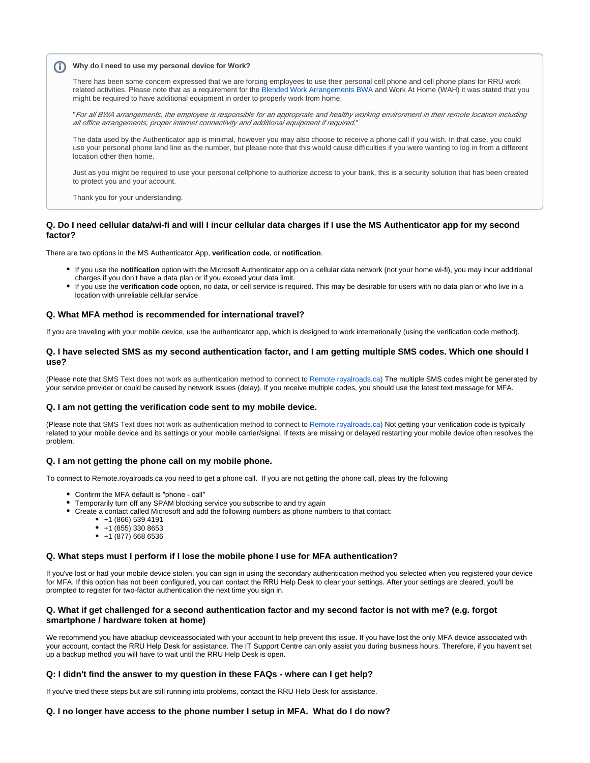# **Why do I need to use my personal device for Work?**

There has been some concern expressed that we are forcing employees to use their personal cell phone and cell phone plans for RRU work related activities. Please note that as a requirement for the [Blended Work Arrangements BWA](https://confluence.royalroads.ca/display/ITKNOW/Blended+Work+Arrangement%3A+IT+Requirements) and Work At Home (WAH) it was stated that you might be required to have additional equipment in order to properly work from home.

"For all BWA arrangements, the employee is responsible for an appropriate and healthy working environment in their remote location including all office arrangements, proper internet connectivity and additional equipment if required."

The data used by the Authenticator app is minimal, however you may also choose to receive a phone call if you wish. In that case, you could use your personal phone land line as the number, but please note that this would cause difficulties if you were wanting to log in from a different location other then home.

Just as you might be required to use your personal cellphone to authorize access to your bank, this is a security solution that has been created to protect you and your account.

Thank you for your understanding.

# <span id="page-1-0"></span>**Q. Do I need cellular data/wi-fi and will I incur cellular data charges if I use the MS Authenticator app for my second factor?**

There are two options in the MS Authenticator App, verification code, or notification.

- If you use the **notification** option with the Microsoft Authenticator app on a cellular data network (not your home wi-fi), you may incur additional charges if you don't have a data plan or if you exceed your data limit.
- If you use the **verification code** option, no data, or cell service is required. This may be desirable for users with no data plan or who live in a location with unreliable cellular service

#### <span id="page-1-1"></span>**Q. What MFA method is recommended for international travel?**

If you are traveling with your mobile device, use the authenticator app, which is designed to work internationally (using the verification code method).

### <span id="page-1-2"></span>**Q. I have selected SMS as my second authentication factor, and I am getting multiple SMS codes. Which one should I use?**

(Please note that SMS Text does not work as authentication method to connect to [Remote.royalroads.ca\)](http://Remote.royalroads.ca) The multiple SMS codes might be generated by your service provider or could be caused by network issues (delay). If you receive multiple codes, you should use the latest text message for MFA.

#### <span id="page-1-3"></span>**Q. I am not getting the verification code sent to my mobile device.**

(Please note that SMS Text does not work as authentication method to connect to [Remote.royalroads.ca\)](http://remote.royalroads.ca/) Not getting your verification code is typically related to your mobile device and its settings or your mobile carrier/signal. If texts are missing or delayed restarting your mobile device often resolves the problem.

#### <span id="page-1-4"></span>**Q. I am not getting the phone call on my mobile phone.**

To connect to Remote.royalroads.ca you need to get a phone call. If you are not getting the phone call, pleas try the following

- Confirm the MFA default is "phone call"
- Temporarily turn off any SPAM blocking service you subscribe to and try again
- Create a contact called Microsoft and add the following numbers as phone numbers to that contact:
	- $+1$  (866) 539 4191
	- $+1$  (855) 330 8653
	- $+1$  (877) 668 6536

#### <span id="page-1-5"></span>**Q. What steps must I perform if I lose the mobile phone I use for MFA authentication?**

If you've lost or had your mobile device stolen, you can sign in using the secondary authentication method you selected when you registered your device for MFA. If this option has not been configured, you can contact the RRU Help Desk to clear your settings. After your settings are cleared, you'll be prompted to register for two-factor authentication the next time you sign in.

# <span id="page-1-6"></span>**Q. What if get challenged for a second authentication factor and my second factor is not with me? (e.g. forgot smartphone / hardware token at home)**

We recommend you have abackup deviceassociated with your account to help prevent this issue. If you have lost the only MFA device associated with your account, contact the RRU Help Desk for assistance. The IT Support Centre can only assist you during business hours. Therefore, if you haven't set up a backup method you will have to wait until the RRU Help Desk is open.

# <span id="page-1-7"></span>**Q: I didn't find the answer to my question in these FAQs - where can I get help?**

If you've tried these steps but are still running into problems, contact the RRU Help Desk for assistance.

#### <span id="page-1-8"></span>**Q. I no longer have access to the phone number I setup in MFA. What do I do now?**